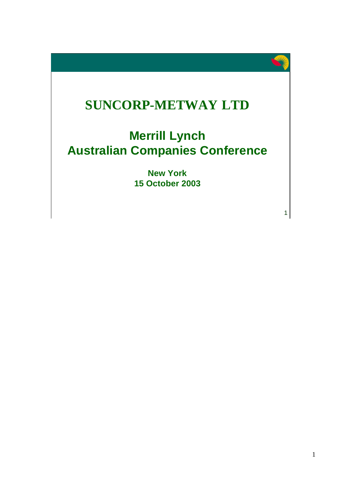

1

# **SUNCORP-METWAY LTD**

# **Merrill Lynch Australian Companies Conference**

**New York 15 October 2003**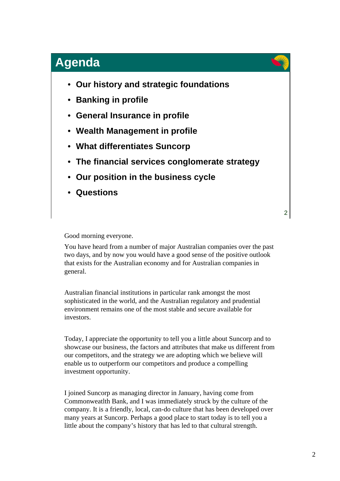- **Our history and strategic foundations**
- **Banking in profile**
- **General Insurance in profile**
- **Wealth Management in profile**
- **What differentiates Suncorp**
- **The financial services conglomerate strategy**
- **Our position in the business cycle**
- **Questions**

2

Good morning everyone.

You have heard from a number of major Australian companies over the past two days, and by now you would have a good sense of the positive outlook that exists for the Australian economy and for Australian companies in general.

Australian financial institutions in particular rank amongst the most sophisticated in the world, and the Australian regulatory and prudential environment remains one of the most stable and secure available for investors.

Today, I appreciate the opportunity to tell you a little about Suncorp and to showcase our business, the factors and attributes that make us different from our competitors, and the strategy we are adopting which we believe will enable us to outperform our competitors and produce a compelling investment opportunity.

I joined Suncorp as managing director in January, having come from Commonweatlth Bank, and I was immediately struck by the culture of the company. It is a friendly, local, can-do culture that has been developed over many years at Suncorp. Perhaps a good place to start today is to tell you a little about the company's history that has led to that cultural strength.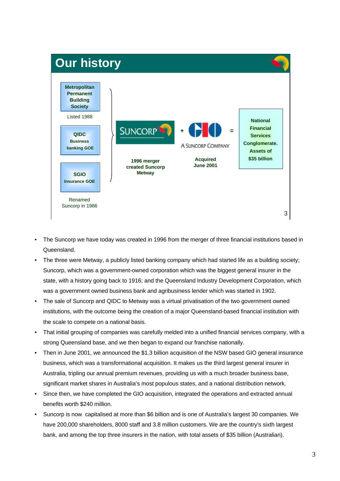

- The Suncorp we have today was created in 1996 from the merger of three financial institutions based in Queensland.
- The three were Metway, a publicly listed banking company which had started life as a building society; Suncorp, which was a government-owned corporation which was the biggest general insurer in the state, with a history going back to 1916; and the Queensland Industry Development Corporation, which was a government owned business bank and agribusiness lender which was started in 1902.
- The sale of Suncorp and QIDC to Metway was a virtual privatisation of the two government owned institutions, with the outcome being the creation of a major Queensland-based financial institution with the scale to compete on a national basis.
- That initial grouping of companies was carefully melded into a unified financial services company, with a strong Queensland base, and we then began to expand our franchise nationally.
- Then in June 2001, we announced the \$1.3 billion acquisition of the NSW based GIO general insurance business, which was a transformational acquisition. It makes us the third largest general insurer in Australia, tripling our annual premium revenues, providing us with a much broader business base, significant market shares in Australia's most populous states, and a national distribution network.
- Since then, we have completed the GIO acquisition, integrated the operations and extracted annual benefits worth \$240 million.
- Suncorp is now capitalised at more than \$6 billion and is one of Australia's largest 30 companies. We have 200,000 shareholders, 8000 staff and 3.8 million customers. We are the country's sixth largest bank, and among the top three insurers in the nation, with total assets of \$35 billion (Australian).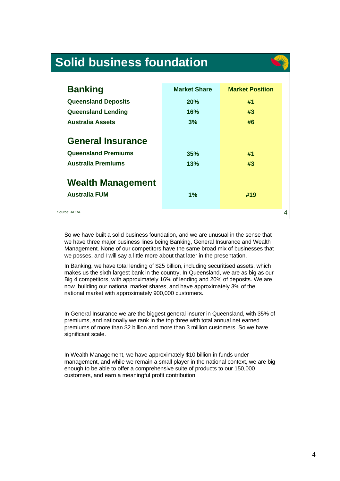# **Solid business foundation**

So



| <b>Banking</b>             | <b>Market Share</b> | <b>Market Position</b> |
|----------------------------|---------------------|------------------------|
| <b>Queensland Deposits</b> | 20%                 | #1                     |
| <b>Queensland Lending</b>  | 16%                 | #3                     |
| <b>Australia Assets</b>    | 3%                  | #6                     |
| <b>General Insurance</b>   |                     |                        |
| <b>Queensland Premiums</b> | 35%                 | #1                     |
| <b>Australia Premiums</b>  | 13%                 | #3                     |
| <b>Wealth Management</b>   |                     |                        |
| <b>Australia FUM</b>       | 1%                  | #19                    |
| ource: APRA                |                     |                        |

So we have built a solid business foundation, and we are unusual in the sense that we have three major business lines being Banking, General Insurance and Wealth Management. None of our competitors have the same broad mix of businesses that we posses, and I will say a little more about that later in the presentation.

In Banking, we have total lending of \$25 billion, including securitised assets, which makes us the sixth largest bank in the country. In Queensland, we are as big as our Big 4 competitors, with approximately 16% of lending and 20% of deposits. We are now building our national market shares, and have approximately 3% of the national market with approximately 900,000 customers.

In General Insurance we are the biggest general insurer in Queensland, with 35% of premiums, and nationally we rank in the top three with total annual net earned premiums of more than \$2 billion and more than 3 million customers. So we have significant scale.

In Wealth Management, we have approximately \$10 billion in funds under management, and while we remain a small player in the national context, we are big enough to be able to offer a comprehensive suite of products to our 150,000 customers, and earn a meaningful profit contribution.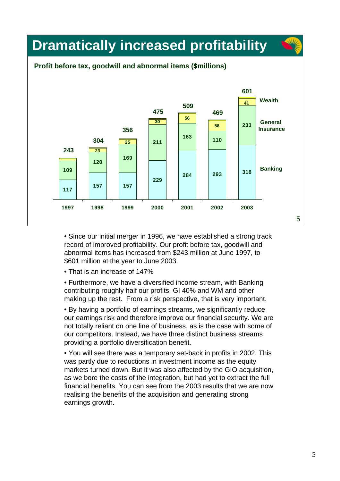

#### **Profit before tax, goodwill and abnormal items (\$millions)**



• Since our initial merger in 1996, we have established a strong track record of improved profitability. Our profit before tax, goodwill and abnormal items has increased from \$243 million at June 1997, to \$601 million at the year to June 2003.

• That is an increase of 147%

• Furthermore, we have a diversified income stream, with Banking contributing roughly half our profits, GI 40% and WM and other making up the rest. From a risk perspective, that is very important.

• By having a portfolio of earnings streams, we significantly reduce our earnings risk and therefore improve our financial security. We are not totally reliant on one line of business, as is the case with some of our competitors. Instead, we have three distinct business streams providing a portfolio diversification benefit.

• You will see there was a temporary set-back in profits in 2002. This was partly due to reductions in investment income as the equity markets turned down. But it was also affected by the GIO acquisition, as we bore the costs of the integration, but had yet to extract the full financial benefits. You can see from the 2003 results that we are now realising the benefits of the acquisition and generating strong earnings growth.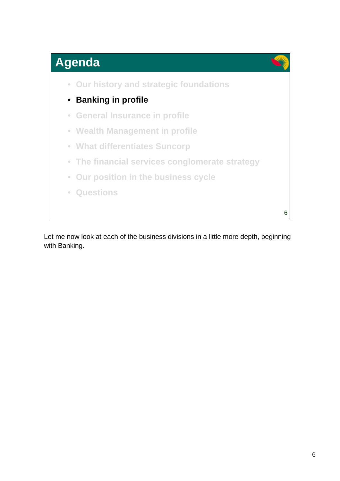

6 • **Our history and strategic foundations** • **Banking in profile** • **General Insurance in profile** • **Wealth Management in profile** • **What differentiates Suncorp** • **The financial services conglomerate strategy** • **Our position in the business cycle** • **Questions**

Let me now look at each of the business divisions in a little more depth, beginning with Banking.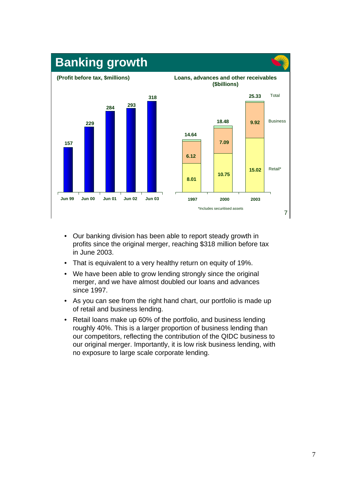

- Our banking division has been able to report steady growth in profits since the original merger, reaching \$318 million before tax in June 2003.
- That is equivalent to a very healthy return on equity of 19%.
- We have been able to grow lending strongly since the original merger, and we have almost doubled our loans and advances since 1997.
- As you can see from the right hand chart, our portfolio is made up of retail and business lending.
- Retail loans make up 60% of the portfolio, and business lending roughly 40%. This is a larger proportion of business lending than our competitors, reflecting the contribution of the QIDC business to our original merger. Importantly, it is low risk business lending, with no exposure to large scale corporate lending.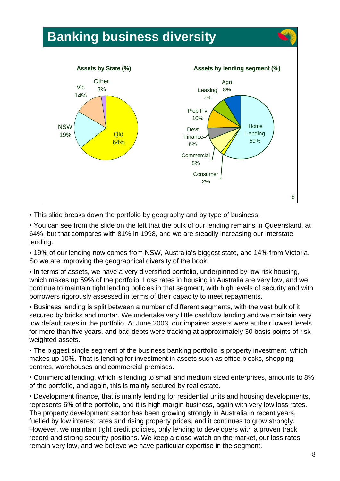

• This slide breaks down the portfolio by geography and by type of business.

• You can see from the slide on the left that the bulk of our lending remains in Queensland, at 64%, but that compares with 81% in 1998, and we are steadily increasing our interstate lending.

• 19% of our lending now comes from NSW, Australia's biggest state, and 14% from Victoria. So we are improving the geographical diversity of the book.

• In terms of assets, we have a very diversified portfolio, underpinned by low risk housing, which makes up 59% of the portfolio. Loss rates in housing in Australia are very low, and we continue to maintain tight lending policies in that segment, with high levels of security and with borrowers rigorously assessed in terms of their capacity to meet repayments.

• Business lending is split between a number of different segments, with the vast bulk of it secured by bricks and mortar. We undertake very little cashflow lending and we maintain very low default rates in the portfolio. At June 2003, our impaired assets were at their lowest levels for more than five years, and bad debts were tracking at approximately 30 basis points of risk weighted assets.

• The biggest single segment of the business banking portfolio is property investment, which makes up 10%. That is lending for investment in assets such as office blocks, shopping centres, warehouses and commercial premises.

• Commercial lending, which is lending to small and medium sized enterprises, amounts to 8% of the portfolio, and again, this is mainly secured by real estate.

• Development finance, that is mainly lending for residential units and housing developments, represents 6% of the portfolio, and it is high margin business, again with very low loss rates. The property development sector has been growing strongly in Australia in recent years, fuelled by low interest rates and rising property prices, and it continues to grow strongly. However, we maintain tight credit policies, only lending to developers with a proven track record and strong security positions. We keep a close watch on the market, our loss rates remain very low, and we believe we have particular expertise in the segment.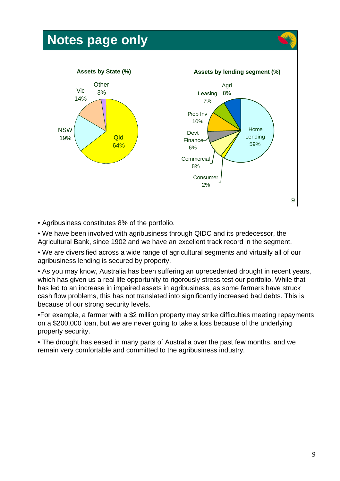# **Notes page only**



• Agribusiness constitutes 8% of the portfolio.

• We have been involved with agribusiness through QIDC and its predecessor, the Agricultural Bank, since 1902 and we have an excellent track record in the segment.

• We are diversified across a wide range of agricultural segments and virtually all of our agribusiness lending is secured by property.

• As you may know, Australia has been suffering an uprecedented drought in recent years, which has given us a real life opportunity to rigorously stress test our portfolio. While that has led to an increase in impaired assets in agribusiness, as some farmers have struck cash flow problems, this has not translated into significantly increased bad debts. This is because of our strong security levels.

•For example, a farmer with a \$2 million property may strike difficulties meeting repayments on a \$200,000 loan, but we are never going to take a loss because of the underlying property security.

• The drought has eased in many parts of Australia over the past few months, and we remain very comfortable and committed to the agribusiness industry.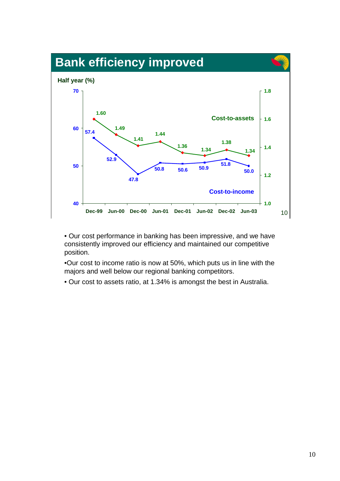

• Our cost performance in banking has been impressive, and we have consistently improved our efficiency and maintained our competitive position.

•Our cost to income ratio is now at 50%, which puts us in line with the majors and well below our regional banking competitors.

• Our cost to assets ratio, at 1.34% is amongst the best in Australia.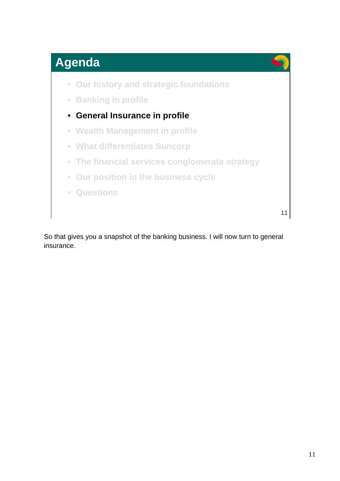

- **Our history and strategic foundations**
- **Banking in profile**
- **General Insurance in profile**
- **Wealth Management in profile**
- **What differentiates Suncorp**
- **The financial services conglomerate strategy**
- **Our position in the business cycle**
- **Questions**

11

So that gives you a snapshot of the banking business. I will now turn to general insurance.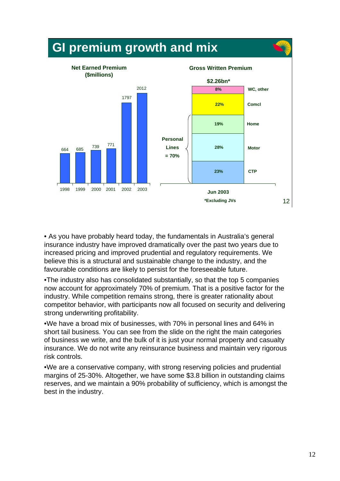

• As you have probably heard today, the fundamentals in Australia's general insurance industry have improved dramatically over the past two years due to increased pricing and improved prudential and regulatory requirements. We believe this is a structural and sustainable change to the industry, and the favourable conditions are likely to persist for the foreseeable future.

•The industry also has consolidated substantially, so that the top 5 companies now account for approximately 70% of premium. That is a positive factor for the industry. While competition remains strong, there is greater rationality about competitor behavior, with participants now all focused on security and delivering strong underwriting profitability.

•We have a broad mix of businesses, with 70% in personal lines and 64% in short tail business. You can see from the slide on the right the main categories of business we write, and the bulk of it is just your normal property and casualty insurance. We do not write any reinsurance business and maintain very rigorous risk controls.

•We are a conservative company, with strong reserving policies and prudential margins of 25-30%. Altogether, we have some \$3.8 billion in outstanding claims reserves, and we maintain a 90% probability of sufficiency, which is amongst the best in the industry.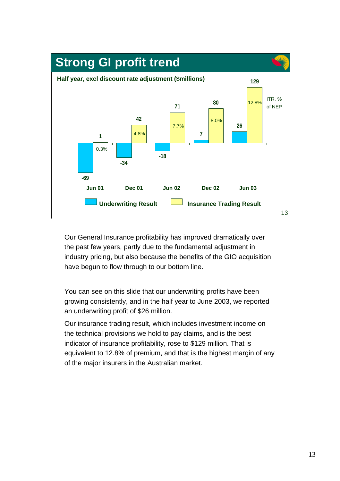

Our General Insurance profitability has improved dramatically over the past few years, partly due to the fundamental adjustment in industry pricing, but also because the benefits of the GIO acquisition have begun to flow through to our bottom line.

You can see on this slide that our underwriting profits have been growing consistently, and in the half year to June 2003, we reported an underwriting profit of \$26 million.

Our insurance trading result, which includes investment income on the technical provisions we hold to pay claims, and is the best indicator of insurance profitability, rose to \$129 million. That is equivalent to 12.8% of premium, and that is the highest margin of any of the major insurers in the Australian market.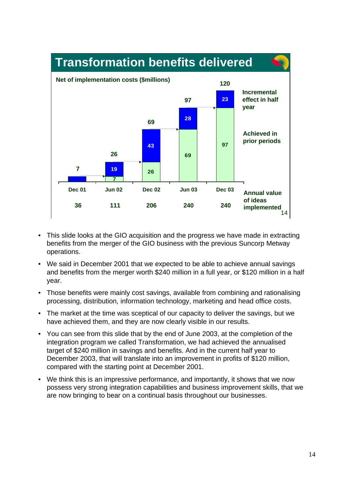

- This slide looks at the GIO acquisition and the progress we have made in extracting benefits from the merger of the GIO business with the previous Suncorp Metway operations.
- We said in December 2001 that we expected to be able to achieve annual savings and benefits from the merger worth \$240 million in a full year, or \$120 million in a half year.
- Those benefits were mainly cost savings, available from combining and rationalising processing, distribution, information technology, marketing and head office costs.
- The market at the time was sceptical of our capacity to deliver the savings, but we have achieved them, and they are now clearly visible in our results.
- You can see from this slide that by the end of June 2003, at the completion of the integration program we called Transformation, we had achieved the annualised target of \$240 million in savings and benefits. And in the current half year to December 2003, that will translate into an improvement in profits of \$120 million, compared with the starting point at December 2001.
- We think this is an impressive performance, and importantly, it shows that we now possess very strong integration capabilities and business improvement skills, that we are now bringing to bear on a continual basis throughout our businesses.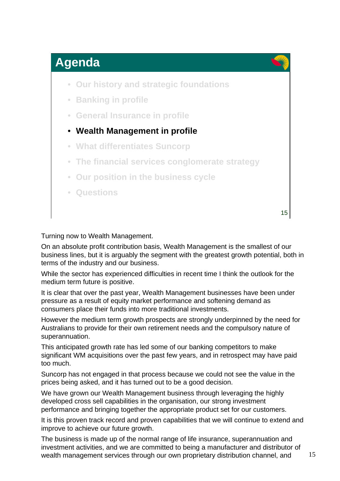

- **Our history and strategic foundations**
- **Banking in profile**
- **General Insurance in profile**
- **Wealth Management in profile**
- **What differentiates Suncorp**
- **The financial services conglomerate strategy**
- **Our position in the business cycle**
- **Questions**

15

Turning now to Wealth Management.

On an absolute profit contribution basis, Wealth Management is the smallest of our business lines, but it is arguably the segment with the greatest growth potential, both in terms of the industry and our business.

While the sector has experienced difficulties in recent time I think the outlook for the medium term future is positive.

It is clear that over the past year, Wealth Management businesses have been under pressure as a result of equity market performance and softening demand as consumers place their funds into more traditional investments.

However the medium term growth prospects are strongly underpinned by the need for Australians to provide for their own retirement needs and the compulsory nature of superannuation.

This anticipated growth rate has led some of our banking competitors to make significant WM acquisitions over the past few years, and in retrospect may have paid too much.

Suncorp has not engaged in that process because we could not see the value in the prices being asked, and it has turned out to be a good decision.

We have grown our Wealth Management business through leveraging the highly developed cross sell capabilities in the organisation, our strong investment performance and bringing together the appropriate product set for our customers.

It is this proven track record and proven capabilities that we will continue to extend and improve to achieve our future growth.

The business is made up of the normal range of life insurance, superannuation and investment activities, and we are committed to being a manufacturer and distributor of wealth management services through our own proprietary distribution channel, and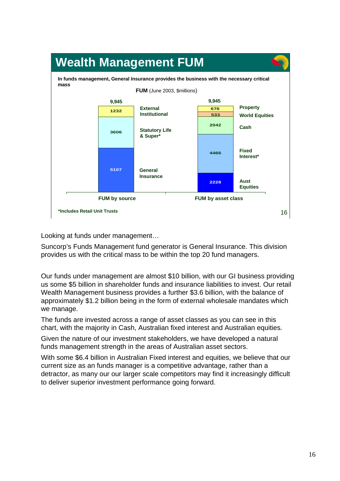

Looking at funds under management…

Suncorp's Funds Management fund generator is General Insurance. This division provides us with the critical mass to be within the top 20 fund managers.

Our funds under management are almost \$10 billion, with our GI business providing us some \$5 billion in shareholder funds and insurance liabilities to invest. Our retail Wealth Management business provides a further \$3.6 billion, with the balance of approximately \$1.2 billion being in the form of external wholesale mandates which we manage.

The funds are invested across a range of asset classes as you can see in this chart, with the majority in Cash, Australian fixed interest and Australian equities.

Given the nature of our investment stakeholders, we have developed a natural funds management strength in the areas of Australian asset sectors.

With some \$6.4 billion in Australian Fixed interest and equities, we believe that our current size as an funds manager is a competitive advantage, rather than a detractor, as many our our larger scale competitors may find it increasingly difficult to deliver superior investment performance going forward.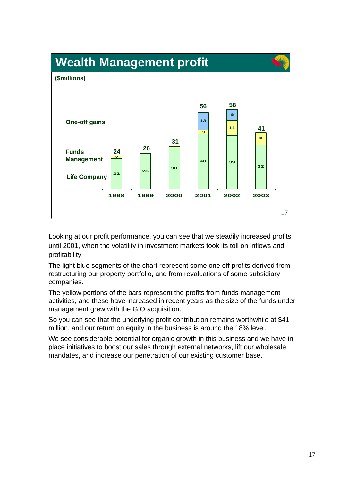

Looking at our profit performance, you can see that we steadily increased profits until 2001, when the volatility in investment markets took its toll on inflows and profitability.

The light blue segments of the chart represent some one off profits derived from restructuring our property portfolio, and from revaluations of some subsidiary companies.

The yellow portions of the bars represent the profits from funds management activities, and these have increased in recent years as the size of the funds under management grew with the GIO acquisition.

So you can see that the underlying profit contribution remains worthwhile at \$41 million, and our return on equity in the business is around the 18% level.

We see considerable potential for organic growth in this business and we have in place initiatives to boost our sales through external networks, lift our wholesale mandates, and increase our penetration of our existing customer base.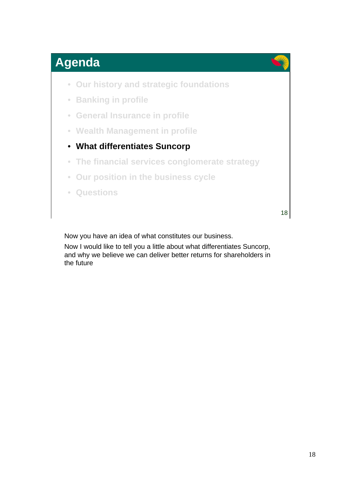

- **Our history and strategic foundations**
- **Banking in profile**
- **General Insurance in profile**
- **Wealth Management in profile**
- **What differentiates Suncorp**
- **The financial services conglomerate strategy**
- **Our position in the business cycle**
- **Questions**

18

Now you have an idea of what constitutes our business.

Now I would like to tell you a little about what differentiates Suncorp, and why we believe we can deliver better returns for shareholders in the future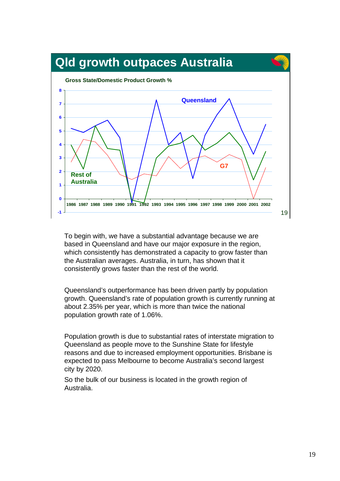

To begin with, we have a substantial advantage because we are based in Queensland and have our major exposure in the region, which consistently has demonstrated a capacity to grow faster than the Australian averages. Australia, in turn, has shown that it consistently grows faster than the rest of the world.

Queensland's outperformance has been driven partly by population growth. Queensland's rate of population growth is currently running at about 2.35% per year, which is more than twice the national population growth rate of 1.06%.

Population growth is due to substantial rates of interstate migration to Queensland as people move to the Sunshine State for lifestyle reasons and due to increased employment opportunities. Brisbane is expected to pass Melbourne to become Australia's second largest city by 2020.

So the bulk of our business is located in the growth region of Australia.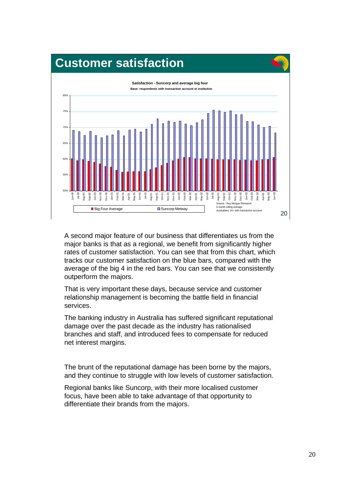#### **Customer satisfaction**



A second major feature of our business that differentiates us from the major banks is that as a regional, we benefit from significantly higher rates of customer satisfaction. You can see that from this chart, which tracks our customer satisfaction on the blue bars, compared with the average of the big 4 in the red bars. You can see that we consistently outperform the majors.

That is very important these days, because service and customer relationship management is becoming the battle field in financial services.

The banking industry in Australia has suffered significant reputational damage over the past decade as the industry has rationalised branches and staff, and introduced fees to compensate for reduced net interest margins.

The brunt of the reputational damage has been borne by the majors, and they continue to struggle with low levels of customer satisfaction.

Regional banks like Suncorp, with their more localised customer focus, have been able to take advantage of that opportunity to differentiate their brands from the majors.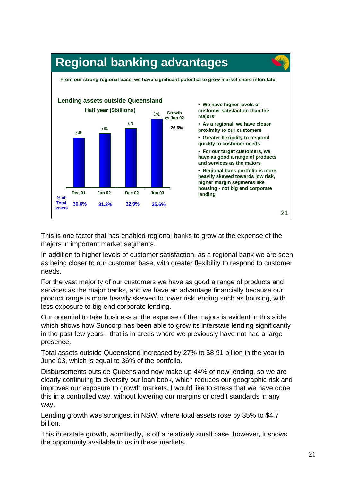

This is one factor that has enabled regional banks to grow at the expense of the majors in important market segments.

In addition to higher levels of customer satisfaction, as a regional bank we are seen as being closer to our customer base, with greater flexibility to respond to customer needs.

For the vast majority of our customers we have as good a range of products and services as the major banks, and we have an advantage financially because our product range is more heavily skewed to lower risk lending such as housing, with less exposure to big end corporate lending.

Our potential to take business at the expense of the majors is evident in this slide, which shows how Suncorp has been able to grow its interstate lending significantly in the past few years - that is in areas where we previously have not had a large presence.

Total assets outside Queensland increased by 27% to \$8.91 billion in the year to June 03, which is equal to 36% of the portfolio.

Disbursements outside Queensland now make up 44% of new lending, so we are clearly continuing to diversify our loan book, which reduces our geographic risk and improves our exposure to growth markets. I would like to stress that we have done this in a controlled way, without lowering our margins or credit standards in any way.

Lending growth was strongest in NSW, where total assets rose by 35% to \$4.7 billion.

This interstate growth, admittedly, is off a relatively small base, however, it shows the opportunity available to us in these markets.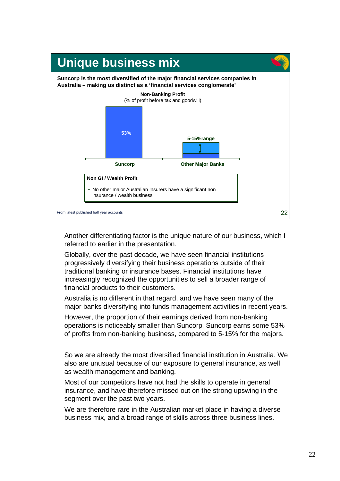

Another differentiating factor is the unique nature of our business, which I referred to earlier in the presentation.

Globally, over the past decade, we have seen financial institutions progressively diversifying their business operations outside of their traditional banking or insurance bases. Financial institutions have increasingly recognized the opportunities to sell a broader range of financial products to their customers.

Australia is no different in that regard, and we have seen many of the major banks diversifying into funds management activities in recent years.

However, the proportion of their earnings derived from non-banking operations is noticeably smaller than Suncorp. Suncorp earns some 53% of profits from non-banking business, compared to 5-15% for the majors.

So we are already the most diversified financial institution in Australia. We also are unusual because of our exposure to general insurance, as well as wealth management and banking.

Most of our competitors have not had the skills to operate in general insurance, and have therefore missed out on the strong upswing in the segment over the past two years.

We are therefore rare in the Australian market place in having a diverse business mix, and a broad range of skills across three business lines.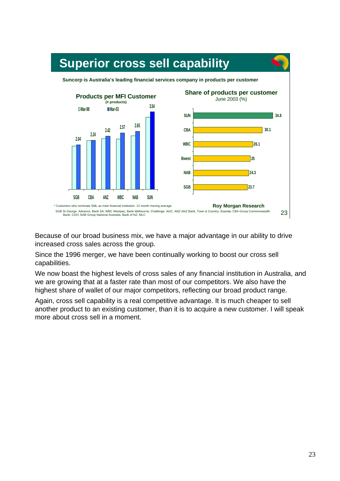

Because of our broad business mix, we have a major advantage in our ability to drive increased cross sales across the group.

Since the 1996 merger, we have been continually working to boost our cross sell capabilities.

We now boast the highest levels of cross sales of any financial institution in Australia, and we are growing that at a faster rate than most of our competitors. We also have the highest share of wallet of our major competitors, reflecting our broad product range.

Again, cross sell capability is a real competitive advantage. It is much cheaper to sell another product to an existing customer, than it is to acquire a new customer. I will speak more about cross sell in a moment.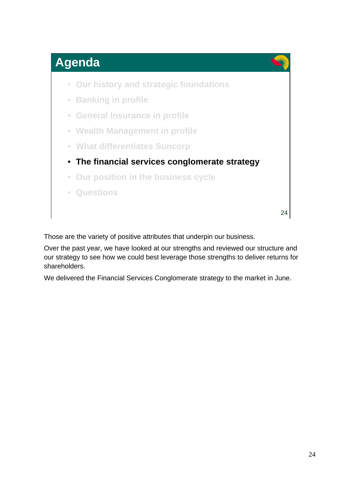

- **Our history and strategic foundations**
- **Banking in profile**
- **General Insurance in profile**
- **Wealth Management in profile**
- **What differentiates Suncorp**
- **The financial services conglomerate strategy**
- **Our position in the business cycle**
- **Questions**

24

Those are the variety of positive attributes that underpin our business.

Over the past year, we have looked at our strengths and reviewed our structure and our strategy to see how we could best leverage those strengths to deliver returns for shareholders.

We delivered the Financial Services Conglomerate strategy to the market in June.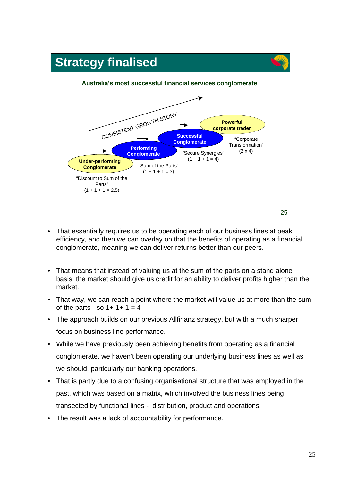

- That essentially requires us to be operating each of our business lines at peak efficiency, and then we can overlay on that the benefits of operating as a financial conglomerate, meaning we can deliver returns better than our peers.
- That means that instead of valuing us at the sum of the parts on a stand alone basis, the market should give us credit for an ability to deliver profits higher than the market.
- That way, we can reach a point where the market will value us at more than the sum of the parts - so  $1+1+1=4$
- The approach builds on our previous Allfinanz strategy, but with a much sharper focus on business line performance.
- While we have previously been achieving benefits from operating as a financial conglomerate, we haven't been operating our underlying business lines as well as we should, particularly our banking operations.
- That is partly due to a confusing organisational structure that was employed in the past, which was based on a matrix, which involved the business lines being transected by functional lines - distribution, product and operations.
- The result was a lack of accountability for performance.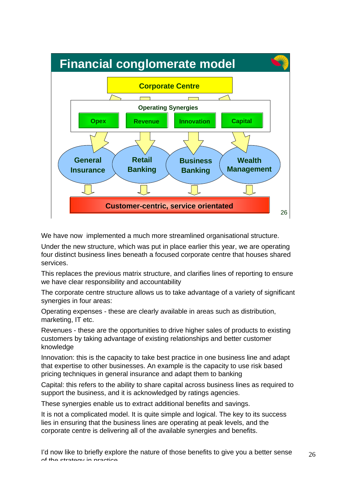

We have now implemented a much more streamlined organisational structure.

Under the new structure, which was put in place earlier this year, we are operating four distinct business lines beneath a focused corporate centre that houses shared services.

This replaces the previous matrix structure, and clarifies lines of reporting to ensure we have clear responsibility and accountability

The corporate centre structure allows us to take advantage of a variety of significant synergies in four areas:

Operating expenses - these are clearly available in areas such as distribution, marketing, IT etc.

Revenues - these are the opportunities to drive higher sales of products to existing customers by taking advantage of existing relationships and better customer knowledge

Innovation: this is the capacity to take best practice in one business line and adapt that expertise to other businesses. An example is the capacity to use risk based pricing techniques in general insurance and adapt them to banking

Capital: this refers to the ability to share capital across business lines as required to support the business, and it is acknowledged by ratings agencies.

These synergies enable us to extract additional benefits and savings.

It is not a complicated model. It is quite simple and logical. The key to its success lies in ensuring that the business lines are operating at peak levels, and the corporate centre is delivering all of the available synergies and benefits.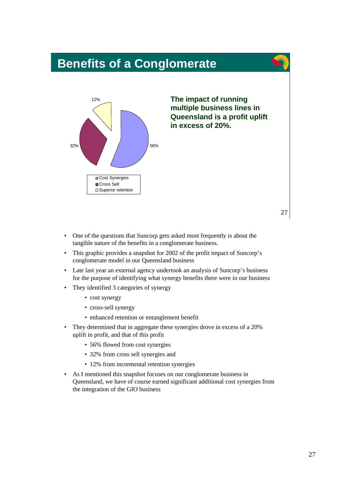#### **Benefits of a Conglomerate**



**The impact of running multiple business lines in Queensland is a profit uplift in excess of 20%.**

- One of the questions that Suncorp gets asked most frequently is about the tangible nature of the benefits in a conglomerate business.
- This graphic provides a snapshot for 2002 of the profit impact of Suncorp's conglomerate model in our Queensland business
- Late last year an external agency undertook an analysis of Suncorp's business for the purpose of identifying what synergy benefits there were in our business
- They identified 3 categories of synergy
	- cost synergy
	- cross-sell synergy
	- enhanced retention or entanglement benefit
- They determined that in aggregate these synergies drove in excess of a 20% uplift in profit, and that of this profit
	- 56% flowed from cost synergies
	- 32% from cross sell synergies and
	- 12% from incremental retention synergies
- As I mentioned this snapshot focuses on our conglomerate business in Queensland, we have of course earned significant additional cost synergies from the integration of the GIO business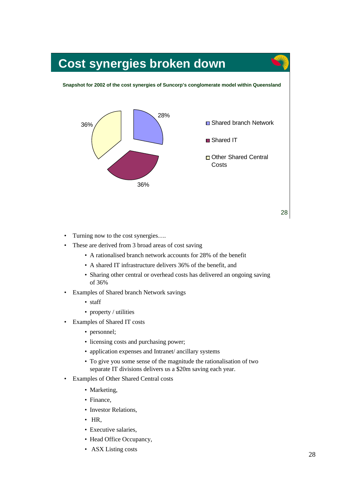# **Cost synergies broken down**

#### **Snapshot for 2002 of the cost synergies of Suncorp's conglomerate model within Queensland**



- Turning now to the cost synergies....
- These are derived from 3 broad areas of cost saving
	- A rationalised branch network accounts for 28% of the benefit
	- A shared IT infrastructure delivers 36% of the benefit, and
	- Sharing other central or overhead costs has delivered an ongoing saving of 36%
- Examples of Shared branch Network savings
	- staff
	- property / utilities
- Examples of Shared IT costs
	- personnel;
	- licensing costs and purchasing power;
	- application expenses and Intranet/ ancillary systems
	- To give you some sense of the magnitude the rationalisation of two separate IT divisions delivers us a \$20m saving each year.
- Examples of Other Shared Central costs
	- Marketing,
	- Finance,
	- Investor Relations,
	- HR,
	- Executive salaries,
	- Head Office Occupancy,
	- ASX Listing costs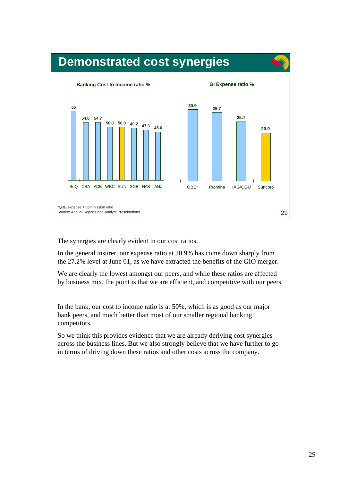

The synergies are clearly evident in our cost ratios.

In the general insurer, our expense ratio at 20.9% has come down sharply from the 27.2% level at June 01, as we have extracted the benefits of the GIO merger.

We are clearly the lowest amongst our peers, and while these ratios are affected by business mix, the point is that we are efficient, and competitive with our peers.

In the bank, our cost to income ratio is at 50%, which is as good as our major bank peers, and much better than most of our smaller regional banking competitors.

So we think this provides evidence that we are already deriving cost synergies across the business lines. But we also strongly believe that we have further to go in terms of driving down these ratios and other costs across the company.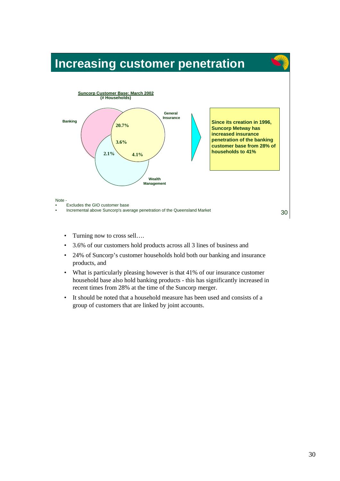#### **Increasing customer penetration**



- Turning now to cross sell....
- 3.6% of our customers hold products across all 3 lines of business and
- 24% of Suncorp's customer households hold both our banking and insurance products, and
- What is particularly pleasing however is that 41% of our insurance customer household base also hold banking products - this has significantly increased in recent times from 28% at the time of the Suncorp merger.
- It should be noted that a household measure has been used and consists of a group of customers that are linked by joint accounts.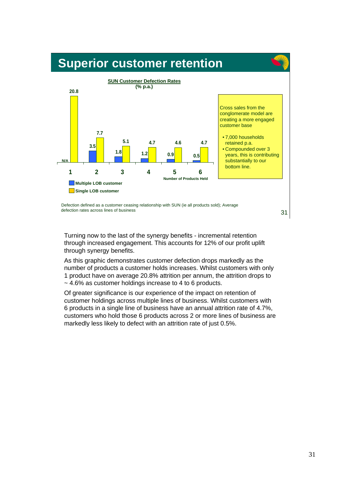#### **Superior customer retention**



 Defection defined as a customer ceasing relationship with SUN (ie all products sold); Average defection rates across lines of business

31

Turning now to the last of the synergy benefits - incremental retention through increased engagement. This accounts for 12% of our profit uplift through synergy benefits.

As this graphic demonstrates customer defection drops markedly as the number of products a customer holds increases. Whilst customers with only 1 product have on average 20.8% attrition per annum, the attrition drops to  $\sim$  4.6% as customer holdings increase to 4 to 6 products.

Of greater significance is our experience of the impact on retention of customer holdings across multiple lines of business. Whilst customers with 6 products in a single line of business have an annual attrition rate of 4.7%, customers who hold those 6 products across 2 or more lines of business are markedly less likely to defect with an attrition rate of just 0.5%.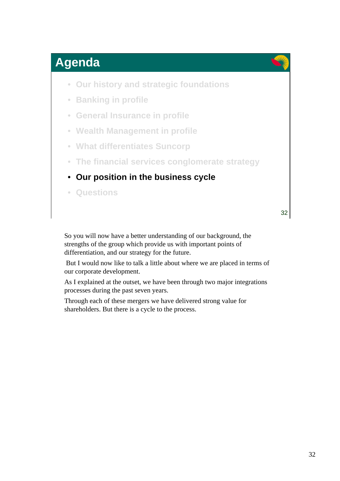

- **Our history and strategic foundations**
- **Banking in profile**
- **General Insurance in profile**
- **Wealth Management in profile**
- **What differentiates Suncorp**
- **The financial services conglomerate strategy**

#### • **Our position in the business cycle**

• **Questions**

32

So you will now have a better understanding of our background, the strengths of the group which provide us with important points of differentiation, and our strategy for the future.

 But I would now like to talk a little about where we are placed in terms of our corporate development.

As I explained at the outset, we have been through two major integrations processes during the past seven years.

Through each of these mergers we have delivered strong value for shareholders. But there is a cycle to the process.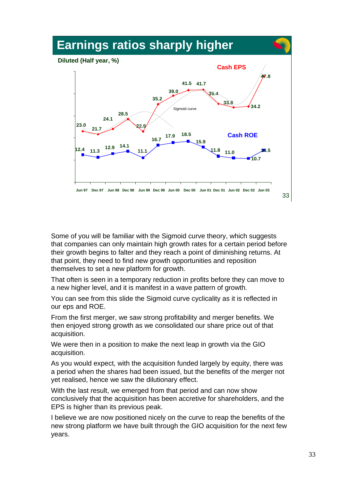

Some of you will be familiar with the Sigmoid curve theory, which suggests that companies can only maintain high growth rates for a certain period before their growth begins to falter and they reach a point of diminishing returns. At that point, they need to find new growth opportunities and reposition themselves to set a new platform for growth.

That often is seen in a temporary reduction in profits before they can move to a new higher level, and it is manifest in a wave pattern of growth.

You can see from this slide the Sigmoid curve cyclicality as it is reflected in our eps and ROE.

From the first merger, we saw strong profitability and merger benefits. We then enjoyed strong growth as we consolidated our share price out of that acquisition.

We were then in a position to make the next leap in growth via the GIO acquisition.

As you would expect, with the acquisition funded largely by equity, there was a period when the shares had been issued, but the benefits of the merger not yet realised, hence we saw the dilutionary effect.

With the last result, we emerged from that period and can now show conclusively that the acquisition has been accretive for shareholders, and the EPS is higher than its previous peak.

I believe we are now positioned nicely on the curve to reap the benefits of the new strong platform we have built through the GIO acquisition for the next few years.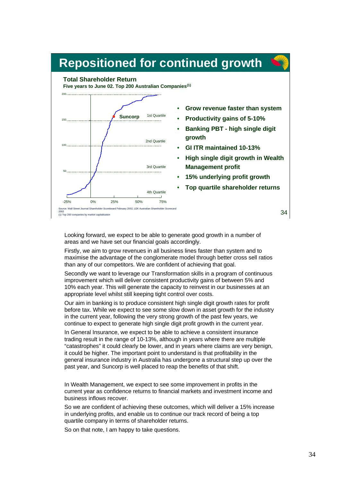#### **Repositioned for continued growth**

#### **Total Shareholder Return**

**Five years to June 02. Top 200 Australian Companies(1)**



- **Grow revenue faster than system**
- **Productivity gains of 5-10%**
- **Banking PBT high single digit growth**
- **GI ITR maintained 10-13%**
- **High single digit growth in Wealth Management profit**
- **15% underlying profit growth**
- **Top quartile shareholder returns**

2002 (1) Top 200 companies by market capitalisation

34

Looking forward, we expect to be able to generate good growth in a number of areas and we have set our financial goals accordingly.

Firstly, we aim to grow revenues in all business lines faster than system and to maximise the advantage of the conglomerate model through better cross sell ratios than any of our competitors. We are confident of achieving that goal.

Secondly we want to leverage our Transformation skills in a program of continuous improvement which will deliver consistent productivity gains of between 5% and 10% each year. This will generate the capacity to reinvest in our businesses at an appropriate level whilst still keeping tight control over costs.

Our aim in banking is to produce consistent high single digit growth rates for profit before tax. While we expect to see some slow down in asset growth for the industry in the current year, following the very strong growth of the past few years, we continue to expect to generate high single digit profit growth in the current year.

In General Insurance, we expect to be able to achieve a consistent insurance trading result in the range of 10-13%, although in years where there are multiple "catastrophes" it could clearly be lower, and in years where claims are very benign, it could be higher. The important point to understand is that profitability in the general insurance industry in Australia has undergone a structural step up over the past year, and Suncorp is well placed to reap the benefits of that shift.

In Wealth Management, we expect to see some improvement in profits in the current year as confidence returns to financial markets and investment income and business inflows recover.

So we are confident of achieving these outcomes, which will deliver a 15% increase in underlying profits, and enable us to continue our track record of being a top quartile company in terms of shareholder returns.

So on that note, I am happy to take questions.